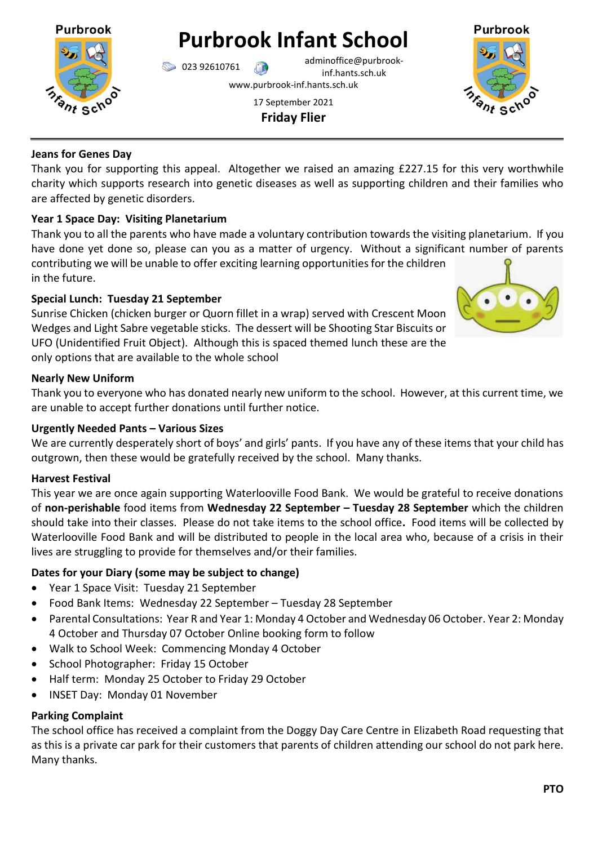

**Purbrook Infant School**

023 92610761 adminoffice@purbrookinf.hants.sch.uk

www.purbrook-inf.hants.sch.uk

17 September 2021 **Friday Flier**



# **Jeans for Genes Day**

Thank you for supporting this appeal. Altogether we raised an amazing £227.15 for this very worthwhile charity which supports research into genetic diseases as well as supporting children and their families who are affected by genetic disorders.

# **Year 1 Space Day: Visiting Planetarium**

Thank you to all the parents who have made a voluntary contribution towards the visiting planetarium. If you have done yet done so, please can you as a matter of urgency. Without a significant number of parents contributing we will be unable to offer exciting learning opportunities for the children in the future.

# **Special Lunch: Tuesday 21 September**

Sunrise Chicken (chicken burger or Quorn fillet in a wrap) served with Crescent Moon Wedges and Light Sabre vegetable sticks. The dessert will be Shooting Star Biscuits or UFO (Unidentified Fruit Object). Although this is spaced themed lunch these are the only options that are available to the whole school



# **Nearly New Uniform**

Thank you to everyone who has donated nearly new uniform to the school. However, at this current time, we are unable to accept further donations until further notice.

# **Urgently Needed Pants – Various Sizes**

We are currently desperately short of boys' and girls' pants. If you have any of these items that your child has outgrown, then these would be gratefully received by the school. Many thanks.

# **Harvest Festival**

This year we are once again supporting Waterlooville Food Bank. We would be grateful to receive donations of **non-perishable** food items from **Wednesday 22 September – Tuesday 28 September** which the children should take into their classes. Please do not take items to the school office**.** Food items will be collected by Waterlooville Food Bank and will be distributed to people in the local area who, because of a crisis in their lives are struggling to provide for themselves and/or their families.

# **Dates for your Diary (some may be subject to change)**

- Year 1 Space Visit: Tuesday 21 September
- Food Bank Items: Wednesday 22 September Tuesday 28 September
- Parental Consultations: Year R and Year 1: Monday 4 October and Wednesday 06 October. Year 2: Monday 4 October and Thursday 07 October Online booking form to follow
- Walk to School Week: Commencing Monday 4 October
- School Photographer: Friday 15 October
- Half term: Monday 25 October to Friday 29 October
- INSET Day: Monday 01 November

# **Parking Complaint**

The school office has received a complaint from the Doggy Day Care Centre in Elizabeth Road requesting that as this is a private car park for their customers that parents of children attending our school do not park here. Many thanks.